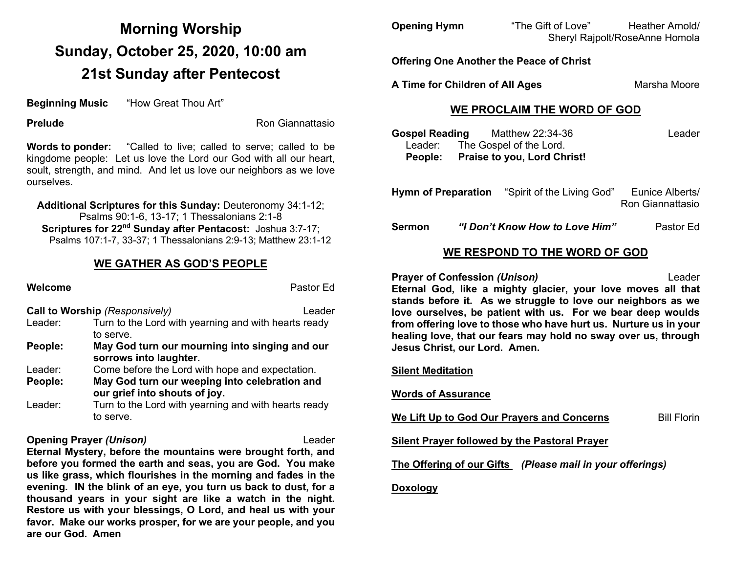# **Morning Worship Sunday, October 25, 2020, 10:00 am 21st Sunday after Pentecost**

**Beginning Music** "How Great Thou Art"

**Prelude** Ron Giannattasio

**Words to ponder:** "Called to live; called to serve; called to be kingdome people: Let us love the Lord our God with all our heart, soult, strength, and mind. And let us love our neighbors as we love ourselves.

**Additional Scriptures for this Sunday:** Deuteronomy 34:1-12; Psalms 90:1-6, 13-17; 1 Thessalonians 2:1-8 **Scriptures for 22nd Sunday after Pentacost:** Joshua 3:7-17; Psalms 107:1-7, 33-37; 1 Thessalonians 2:9-13; Matthew 23:1-12

# **WE GATHER AS GOD'S PEOPLE**

Pastor Ed

| <b>Call to Worship (Responsively)</b><br>Leader |                                                      |  |  |  |
|-------------------------------------------------|------------------------------------------------------|--|--|--|
| Leader:                                         | Turn to the Lord with yearning and with hearts ready |  |  |  |
|                                                 | to serve.                                            |  |  |  |
| People:                                         | May God turn our mourning into singing and our       |  |  |  |
|                                                 | sorrows into laughter.                               |  |  |  |
| Leader:                                         | Come before the Lord with hope and expectation.      |  |  |  |
| People:                                         | May God turn our weeping into celebration and        |  |  |  |
|                                                 | our grief into shouts of joy.                        |  |  |  |
| Leader:                                         | Turn to the Lord with yearning and with hearts ready |  |  |  |
|                                                 | to serve.                                            |  |  |  |
|                                                 |                                                      |  |  |  |

**Opening Prayer** *(Unison)* Leader **Eternal Mystery, before the mountains were brought forth, and before you formed the earth and seas, you are God. You make us like grass, which flourishes in the morning and fades in the evening. IN the blink of an eye, you turn us back to dust, for a thousand years in your sight are like a watch in the night. Restore us with your blessings, O Lord, and heal us with your favor. Make our works prosper, for we are your people, and you are our God. Amen**

| <b>Opening Hymn</b>                                                     | "The Gift of Love"                                                                                                                                                                                                                                                                                                                | Heather Arnold/<br>Sheryl Rajpolt/RoseAnne Homola |  |  |  |  |
|-------------------------------------------------------------------------|-----------------------------------------------------------------------------------------------------------------------------------------------------------------------------------------------------------------------------------------------------------------------------------------------------------------------------------|---------------------------------------------------|--|--|--|--|
|                                                                         | <b>Offering One Another the Peace of Christ</b>                                                                                                                                                                                                                                                                                   |                                                   |  |  |  |  |
| A Time for Children of All Ages                                         |                                                                                                                                                                                                                                                                                                                                   | Marsha Moore                                      |  |  |  |  |
|                                                                         | WE PROCLAIM THE WORD OF GOD                                                                                                                                                                                                                                                                                                       |                                                   |  |  |  |  |
| <b>Gospel Reading</b><br>Leader:<br>People: Praise to you, Lord Christ! | Matthew 22:34-36<br>The Gospel of the Lord.                                                                                                                                                                                                                                                                                       | Leader                                            |  |  |  |  |
|                                                                         | Hymn of Preparation "Spirit of the Living God" Eunice Alberts/                                                                                                                                                                                                                                                                    | Ron Giannattasio                                  |  |  |  |  |
| <b>Sermon</b>                                                           | "I Don't Know How to Love Him"                                                                                                                                                                                                                                                                                                    | Pastor Ed                                         |  |  |  |  |
| WE RESPOND TO THE WORD OF GOD                                           |                                                                                                                                                                                                                                                                                                                                   |                                                   |  |  |  |  |
|                                                                         |                                                                                                                                                                                                                                                                                                                                   |                                                   |  |  |  |  |
| <b>Prayer of Confession (Unison)</b><br>Jesus Christ, our Lord. Amen.   | Eternal God, like a mighty glacier, your love moves all that<br>stands before it. As we struggle to love our neighbors as we<br>love ourselves, be patient with us. For we bear deep woulds<br>from offering love to those who have hurt us. Nurture us in your<br>healing love, that our fears may hold no sway over us, through | Leader                                            |  |  |  |  |
| <b>Silent Meditation</b>                                                |                                                                                                                                                                                                                                                                                                                                   |                                                   |  |  |  |  |
| <b>Words of Assurance</b>                                               |                                                                                                                                                                                                                                                                                                                                   |                                                   |  |  |  |  |
| We Lift Up to God Our Prayers and Concerns                              |                                                                                                                                                                                                                                                                                                                                   | <b>Bill Florin</b>                                |  |  |  |  |
| <b>Silent Prayer followed by the Pastoral Prayer</b>                    |                                                                                                                                                                                                                                                                                                                                   |                                                   |  |  |  |  |
|                                                                         | The Offering of our Gifts (Please mail in your offerings)                                                                                                                                                                                                                                                                         |                                                   |  |  |  |  |